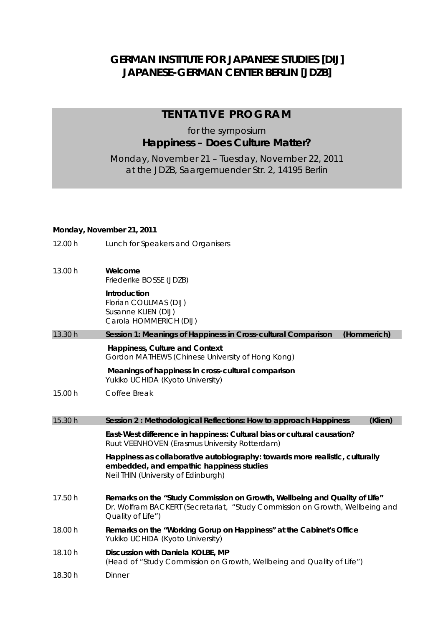## **GERMAN INSTITUTE FOR JAPANESE STUDIES [DIJ] JAPANESE-GERMAN CENTER BERLIN [JDZB]**

### **TENTATIVE PROGRAM**

## for the symposium **Happiness – Does Culture Matter?**

Monday, November 21 – Tuesday, November 22, 2011 at the JDZB, Saargemuender Str. 2, 14195 Berlin

#### *Monday, November 21, 2011*

*12.00 h Lunch for Speakers and Organisers* 

| 13.00 h | Welcome                 |  |
|---------|-------------------------|--|
|         | Friederike BOSSE (JDZB) |  |

 **Introduction**  Florian COULMAS (DIJ) Susanne KLIEN (DIJ) Carola HOMMERICH (DIJ)

13.30 h **Session 1: Meanings of Happiness in Cross-cultural Comparison (Hommerich)** 

# **Happiness, Culture and Context**

Gordon MATHEWS (Chinese University of Hong Kong)  **Meanings of happiness in cross-cultural comparison** 

Yukiko UCHIDA (Kyoto University)

15.00 h *Coffee Break* 

#### 15.30 h **Session 2 : Methodological Reflections: How to approach Happiness (Klien)**

 **East-West difference in happiness: Cultural bias or cultural causation?**  Ruut VEENHOVEN (Erasmus University Rotterdam)

 **Happiness as collaborative autobiography: towards more realistic, culturally embedded, and empathic happiness studies**  Neil THIN (University of Edinburgh)

- 17.50 h **Remarks on the "Study Commission on Growth, Wellbeing and Quality of Life"**  Dr. Wolfram BACKERT (Secretariat, "Study Commission on Growth, Wellbeing and Quality of Life")
- 18.00 h **Remarks on the "Working Gorup on Happiness" at the Cabinet's Office**  Yukiko UCHIDA (Kyoto University)
- 18.10 h **Discussion with Daniela KOLBE, MP**  (Head of "Study Commission on Growth, Wellbeing and Quality of Life")
- 18.30 h *Dinner*